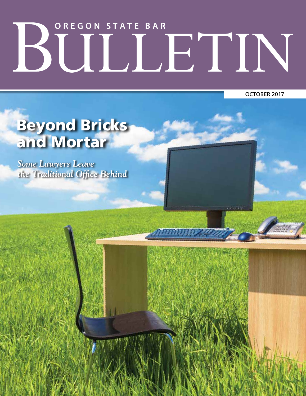# OREGON STATE BAR BULLETIN

OCTOBER 2017

## Beyond Bricks and Mortar

*Some Lawyers Leave the Traditional Office Behind*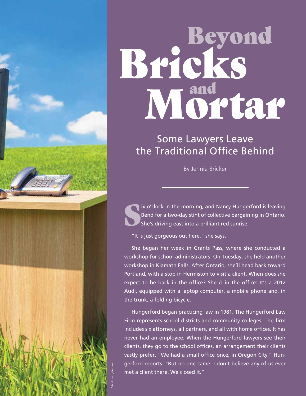# Beyond Bricks Mortar

Some Lawyers Leave the Traditional Office Behind

By Jennie Bricker

IX o'clock in the morning, and Nancy Hungerford is leaving<br>Bend for a two-day stint of collective bargaining in Ontario.<br>She's driving east into a brilliant red sunrise. Bend for a two-day stint of collective bargaining in Ontario. She's driving east into a brilliant red sunrise.

"It is just gorgeous out here," she says.

She began her week in Grants Pass, where she conducted a workshop for school administrators. On Tuesday, she held another workshop in Klamath Falls. After Ontario, she'll head back toward Portland, with a stop in Hermiston to visit a client. When does she expect to be back in the office? She *is* in the office: It's a 2012 Audi, equipped with a laptop computer, a mobile phone and, in the trunk, a folding bicycle.

r<br>at Hungerford began practicing law in 1981. The Hungerford Law Firm represents school districts and community colleges. The firm includes six attorneys, all partners, and all with home offices. It has never had an employee. When the Hungerford lawyers see their clients, they go to the school offices, an arrangement their clients vastly prefer. "We had a small office once, in Oregon City," Hungerford reports. "But no one came. I don't believe any of us ever met a client there. We closed it."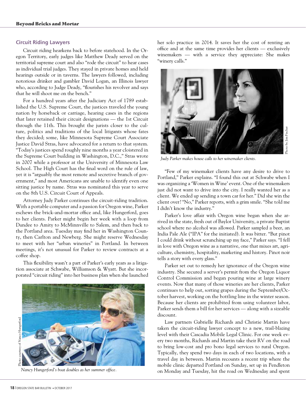#### **Circuit Riding Lawyers**

Circuit riding hearkens back to before statehood. In the Oregon Territory, early judges like Matthew Deady served on the territorial supreme court and also "rode the circuit" to hear cases as individual trial judges. They stayed in private homes and held hearings outside or in taverns. The lawyers followed, including notorious drinker and gambler David Logan, an Illinois lawyer who, according to Judge Deady, "flourishes his revolver and says that he will shoot me on the bench."

For a hundred years after the Judiciary Act of 1789 established the U.S. Supreme Court, the justices traveled the young nation by horseback or carriage, hearing cases in the regions that later retained their circuit designations — the 1st Circuit through the 11th. This brought the jurists closer to the culture, politics and traditions of the local litigants whose fates they decided; some, like Minnesota Supreme Court Associate Justice David Stras, have advocated for a return to that system. "Today's justices spend roughly nine months a year cloistered in the Supreme Court building in Washington, D.C.," Stras wrote in 2007 while a professor at the University of Minnesota Law School. The High Court has the final word on the rule of law, yet it is "arguably the most remote and secretive branch of government," and most Americans are unable to identify even one sitting justice by name. Stras was nominated this year to serve on the 8th U.S. Circuit Court of Appeals.

Attorney Judy Parker continues the circuit-riding tradition. With a portable computer and a passion for Oregon wine, Parker eschews the brick-and-mortar office and, like Hungerford, goes to her clients. Parker might begin her week with a loop from Dundee to Amity to McMinnville to Salem, and then back to the Portland area. Tuesday may find her in Washington County, then Carlton and Newberg. She might reserve Wednesday to meet with her "urban wineries" in Portland. In between meetings, it's not unusual for Parker to review contracts at a coffee shop.

This flexibility wasn't a part of Parker's early years as a litigation associate at Schwabe, Williamson & Wyatt. But she incorporated "circuit riding" into her business plan when she launched



*Nancy Hungerford's boat doubles as her summer office.*

her solo practice in 2014. It saves her the cost of renting an office and at the same time provides her clients — exclusively winemakers — with a service they appreciate: She makes "winery calls."



*Judy Parker makes house calls to her winemaker clients.*

"Few of my winemaker clients have any desire to drive to Portland," Parker explains. "I found this out at Schwabe when I was organizing a 'Women in Wine' event. One of the winemakers just did not want to drive into the city. I really wanted her as a client. We ended up sending a town car for her." Did she win the client over? "No," Parker reports, with a grim smile. "She told me I didn't know the industry."

Parker's love affair with Oregon wine began when she arrived in the state, fresh out of Baylor University, a private Baptist school where no alcohol was allowed. Parker sampled a beer, an India Pale Ale ("IPA" for the initiated). It was bitter. "But pinot I could drink without scrunching up my face," Parker says. "I fell in love with Oregon wine as a narrative, one that mixes art, agriculture, chemistry, hospitality, marketing and history. Pinot noir tells a story with every glass."

Parker set out to remedy her ignorance of the Oregon wine industry. She secured a server's permit from the Oregon Liquor Control Commission and began pouring wine at large winery events. Now that many of those wineries are her clients, Parker continues to help out, sorting grapes during the September/October harvest, working on the bottling line in the winter season. Because her clients are prohibited from using volunteer labor, Parker sends them a bill for her services — along with a sizeable discount.

Law partners Gabrielle Richards and Christie Martin have taken the circuit-riding lawyer concept to a new, trail-blazing level with their Cascadia Mobile Legal Clinic. For one week every two months, Richards and Martin take their RV on the road to bring low-cost and pro bono legal services to rural Oregon. Typically, they spend two days in each of two locations, with a travel day in between. Martin recounts a recent trip where the mobile clinic departed Portland on Sunday, set up in Pendleton on Monday and Tuesday, hit the road on Wednesday and spent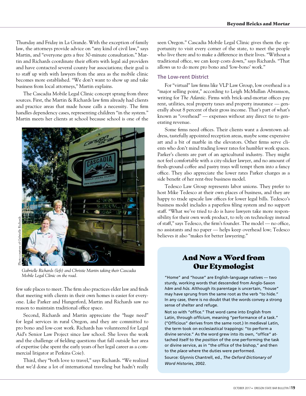Thursday and Friday in La Grande. With the exception of family law, the attorneys provide advice on "any kind of civil law," says Martin, and "everyone gets a free 30-minute consultation." Martin and Richards coordinate their efforts with legal aid providers and have contacted several county bar associations; their goal is to staff up with with lawyers from the area as the mobile clinic becomes more established. "We don't want to show up and take business from local attorneys," Martin explains.

The Cascadia Mobile Legal Clinic concept sprang from three sources. First, the Martin & Richards law firm already had clients and practice areas that made house calls a necessity. The firm handles dependency cases, representing children "in the system." Martin meets her clients at school because school is one of the



*Gabrielle Richards (left) and Christie Martin taking their Cascadia Mobile Legal Clinic on the road.*

few safe places to meet. The firm also practices elder law and finds that meeting with clients in their own homes is easier for everyone. Like Parker and Hungerford, Martin and Richards saw no reason to maintain traditional office space.

Second, Richards and Martin appreciate the "huge need" for legal services in rural Oregon, and they are committed to pro bono and low-cost work. Richards has volunteered for Legal Aid's Senior Law Project since law school. She loves the work and the challenge of fielding questions that fall outside her area of expertise (she spent the early years of her legal career as a commercial litigator at Perkins Coie).

Third, they "both love to travel," says Richards. "We realized that we'd done a lot of international traveling but hadn't really seen Oregon." Cascadia Mobile Legal Clinic gives them the opportunity to visit every corner of the state, to meet the people who live there and to make a difference in their lives. "Without a traditional office, we can keep costs down," says Richards. "That allows us to do more pro bono and 'low-bono' work."

#### **The Low-rent District**

For "virtual" law firms like VLP Law Group, low overhead is a "major selling point," according to Leigh McMullan Abramson, writing for *The Atlantic*. Firms with brick-and-mortar offices pay rent, utilities, real property taxes and property insurance — generally about 8 percent of their gross income. That's part of what's known as "overhead" — expenses without any direct tie to generating revenue.

Some firms need offices. Their clients want a downtown address, tastefully appointed reception areas, maybe some expensive art and a bit of marble in the elevators. Other firms serve clients who don't mind trading lower rates for humbler work spaces. Parker's clients are part of an agricultural industry. They might not feel comfortable with a city-slicker lawyer, and no amount of fresh-ground coffee and pastry trays will tempt them into a fancy office. They also appreciate the lower rates Parker charges as a side benefit of her rent-free business model.

Tedesco Law Group represents labor unions. They prefer to host Mike Tedesco at their own places of business, and they are happy to trade upscale law offices for lower legal bills. Tedesco's business model includes a paperless filing system and no support staff. "What we've tried to do is have lawyers take more responsibility for their own work product, to rely on technology instead of staff," says Tedesco, the firm's founder. The model — no office, no assistants and no paper — helps keep overhead low; Tedesco believes it also "makes for better lawyering."

### And Now a Word from Our Etymologist

"Home" and "house" are English-language natives — two sturdy, working words that descended from Anglo-Saxon *hām* and *hûs*. Although its parentage is uncertain, "house" may have sprung from the same root as the verb "to hide." In any case, there is no doubt that the words convey a strong sense of shelter and refuge.

Not so with "office." That word came into English from Latin, through *officium*, meaning "performance of a task." ("Officious" derives from the same root.) In medieval Latin, the term took on ecclesiastical trappings: "to perform a divine service." As the word grew into its own, "office" attached itself to the *position* of the one performing the task or divine service, as in "the office of the bishop," and then to the *place* where the duties were performed.

Source: Glynnis Chantrell, ed., *The Oxford Dictionary of Word Histories*, 2002.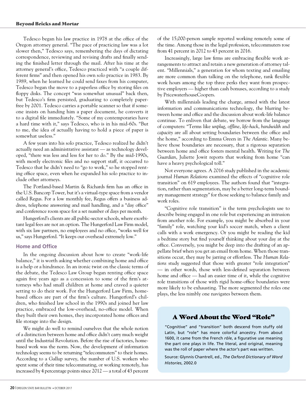Tedesco began his law practice in 1978 at the office of the Oregon attorney general. "The pace of practicing law was a lot slower then," Tedesco says, remembering the days of dictating correspondence, reviewing and revising drafts and finally sending the finished letter through the mail. After his time at the attorney general's office, Tedesco practiced with "a couple different firms" and then opened his own solo practice in 1983. By 1989, when he learned he could send faxes from his computer, Tedesco began the move to a paperless office by storing files on floppy disks. The concept "was somewhat unusual" back then, but Tedesco's firm persisted, graduating to completely paperfree by 2001. Tedesco carries a portable scanner so that if someone insists on handing him a paper document, he converts it to a digital file immediately. "Some of my contemporaries have a hard time with it," says Tedesco, who is in his mid-60s. "But to me, the idea of actually having to hold a piece of paper is somewhat useless."

A few years into his solo practice, Tedesco realized he didn't actually need an administrative assistant — as technology developed, "there was less and less for her to do." By the mid-1990s, with mostly electronic files and no support staff, it occurred to Tedesco that he didn't need to "go to work," so he stopped renting office space, even when he expanded his solo practice to include other attorneys.

The Portland-based Martin & Richards firm has an office in the U.S. Bancorp Tower, but it's a virtual-type space from a vendor called Regus. For a low monthly fee, Regus offers a business address, telephone answering and mail handling, and a "day office" and conference room space for a set number of days per month.

Hungerford's clients are all public-sector schools, where exorbitant legal fees are not an option. The Hungerford Law Firm model, with six law partners, no employees and no office, "works well for us," says Hungerford. "It keeps our overhead extremely low."

#### **Home and Office**

In the ongoing discussion about how to create "work-life balance," it is worth asking whether combining home and office is a help or a hindrance. In an ironic twist on the classic terms of the debate, the Tedesco Law Group began renting office space again five years ago as a concession to some of the firm's attorneys who had small children at home and craved a quieter setting to do their work. For the Hungerford Law Firm, homebased offices are part of the firm's culture. Hungerford's children, who finished law school in the 1990s and joined her law practice, embraced the low-overhead, no-office model. When they built their own homes, they incorporated home offices and file storage into the design.

We might do well to remind ourselves that the whole notion of a distinction between home and office didn't carry much weight until the Industrial Revolution. Before the rise of factories, homebased work was the norm. Now, the development of information technology seems to be returning "telecommuters" to their homes. According to a Gallup survey, the number of U.S. workers who spent some of their time telecommuting, or working remotely, has increased by 4 percentage points since 2012 — a total of 43 percent of the 15,000-person sample reported working remotely some of the time. Among those in the legal profession, telecommuters rose from 41 percent in 2012 to 43 percent in 2016.

Increasingly, large law firms are embracing flexible work arrangements to attract and retain a new generation of attorney talent. "Millennials," a generation for whom texting and emailing are more common than talking on the telephone, rank flexible work hours among the top three perks they want from prospective employers — higher than cash bonuses, according to a study by PricewaterhouseCoopers.

With millennials leading the charge, armed with the latest information and communications technology, the blurring between home and office and the discussion about work-life balance continue. To enliven that debate, we borrow from the language of computers: "Terms like *unplug*, *offline*, *life-hack*, *bandwidth* and *capacity* are all about setting boundaries between the office and the home," according to Emma Green in *The Atlantic*. Many believe those boundaries are necessary, that a rigorous separation between home and office fosters mental health. Writing for *The Guardian*, Juliette Jowit reports that working from home "can have a heavy psychological toll."

Not everyone agrees. A 2016 study published in the academic journal *Human Relations* examined the effects of "cognitive role transition" on 619 employees. The authors found that "integration, rather than segmentation, may be a better long-term boundary management strategy" for those seeking to balance family and work roles.

"Cognitive role transition" is the term psychologists use to describe being engaged in one role but experiencing an intrusion from another role. For example, you might be absorbed in your "family" role, watching your kid's soccer match, when a client calls with a work emergency. Or you might be reading the kid a bedtime story but find yourself thinking about your day at the office. Conversely, you might be deep into the drafting of an appellate brief when you get an email from home. When those transitions occur, they may be jarring or effortless. The *Human Relations* study suggested that those with greater "role integration" — in other words, those with less-defined separation between home and office — had an easier time of it, while the cognitive role transitions of those with rigid home-office boundaries were more likely to be exhausting. The more segmented the roles one plays, the less nimbly one navigates between them.

#### A Word About the Word "Role"

"Cognitive" and "transition" both descend from stuffy old Latin, but "role" has more colorful ancestry. From about 1600, it came from the French *rôle*, a figurative use meaning the part one plays in life. The literal, and original, meaning was the roll of paper where the actor's part was written.

Source: Glynnis Chantrell, ed., *The Oxford Dictionary of Word Histories*, 2002.0